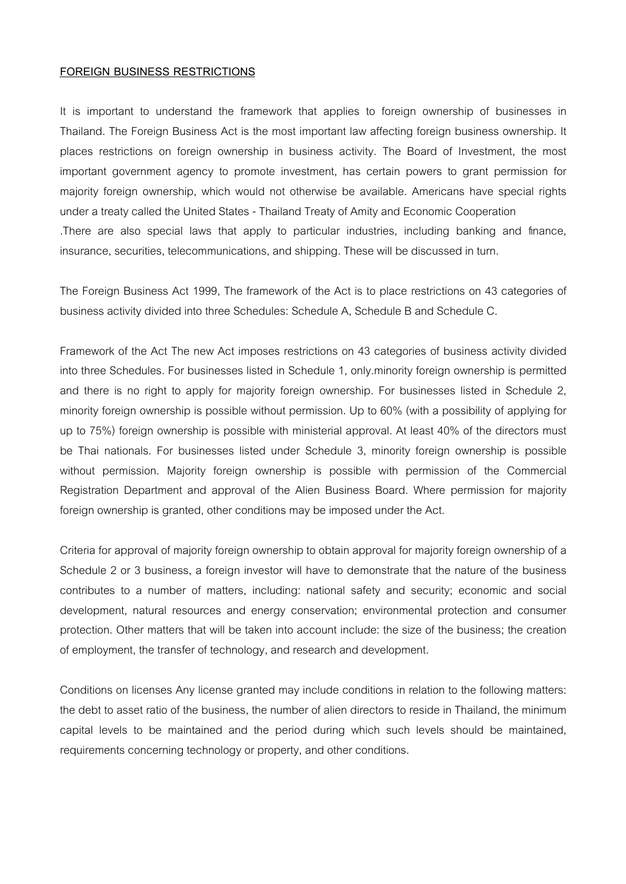#### **FOREIGN BUSINESS RESTRICTIONS**

It is important to understand the framework that applies to foreign ownership of businesses in Thailand. The Foreign Business Act is the most important law affecting foreign business ownership. It places restrictions on foreign ownership in business activity. The Board of Investment, the most important government agency to promote investment, has certain powers to grant permission for majority foreign ownership, which would not otherwise be available. Americans have special rights under a treaty called the United States - Thailand Treaty of Amity and Economic Cooperation .There are also special laws that apply to particular industries, including banking and finance, insurance, securities, telecommunications, and shipping. These will be discussed in turn.

The Foreign Business Act 1999, The framework of the Act is to place restrictions on 43 categories of business activity divided into three Schedules: Schedule A, Schedule B and Schedule C.

Framework of the Act The new Act imposes restrictions on 43 categories of business activity divided into three Schedules. For businesses listed in Schedule 1, only.minority foreign ownership is permitted and there is no right to apply for majority foreign ownership. For businesses listed in Schedule 2, minority foreign ownership is possible without permission. Up to 60% (with a possibility of applying for up to 75%) foreign ownership is possible with ministerial approval. At least 40% of the directors must be Thai nationals. For businesses listed under Schedule 3, minority foreign ownership is possible without permission. Majority foreign ownership is possible with permission of the Commercial Registration Department and approval of the Alien Business Board. Where permission for majority foreign ownership is granted, other conditions may be imposed under the Act.

Criteria for approval of majority foreign ownership to obtain approval for majority foreign ownership of a Schedule 2 or 3 business, a foreign investor will have to demonstrate that the nature of the business contributes to a number of matters, including: national safety and security; economic and social development, natural resources and energy conservation; environmental protection and consumer protection. Other matters that will be taken into account include: the size of the business; the creation of employment, the transfer of technology, and research and development.

Conditions on licenses Any license granted may include conditions in relation to the following matters: the debt to asset ratio of the business, the number of alien directors to reside in Thailand, the minimum capital levels to be maintained and the period during which such levels should be maintained, requirements concerning technology or property, and other conditions.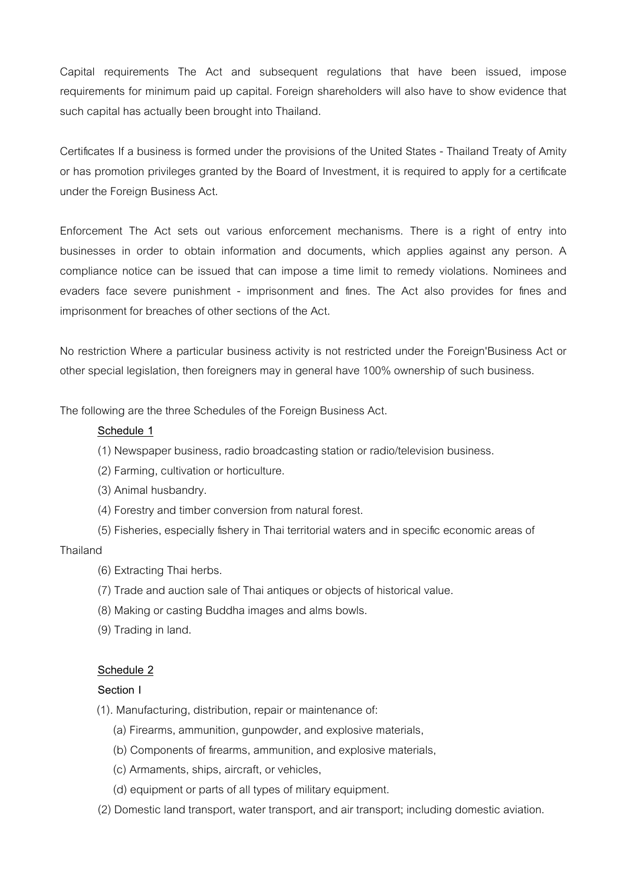Capital requirements The Act and subsequent regulations that have been issued, impose requirements for minimum paid up capital. Foreign shareholders will also have to show evidence that such capital has actually been brought into Thailand.

Certificates If a business is formed under the provisions of the United States - Thailand Treaty of Amity or has promotion privileges granted by the Board of Investment, it is required to apply for a certificate under the Foreign Business Act.

Enforcement The Act sets out various enforcement mechanisms. There is a right of entry into businesses in order to obtain information and documents, which applies against any person. A compliance notice can be issued that can impose a time limit to remedy violations. Nominees and evaders face severe punishment - imprisonment and fines. The Act also provides for fines and imprisonment for breaches of other sections of the Act.

No restriction Where a particular business activity is not restricted under the Foreign'Business Act or other special legislation, then foreigners may in general have 100% ownership of such business.

The following are the three Schedules of the Foreign Business Act.

### **Schedule 1**

- (1) Newspaper business, radio broadcasting station or radio/television business.
- (2) Farming, cultivation or horticulture.
- (3) Animal husbandry.
- (4) Forestry and timber conversion from natural forest.
- (5) Fisheries, especially fishery in Thai territorial waters and in specific economic areas of Thailand
	- (6) Extracting Thai herbs.
	- (7) Trade and auction sale of Thai antiques or objects of historical value.
	- (8) Making or casting Buddha images and alms bowls.
	- (9) Trading in land.

### **Schedule 2**

### **Section I**

- (1). Manufacturing, distribution, repair or maintenance of:
	- (a) Firearms, ammunition, gunpowder, and explosive materials,
	- (b) Components of firearms, ammunition, and explosive materials,
	- (c) Armaments, ships, aircraft, or vehicles,
	- (d) equipment or parts of all types of military equipment.
- (2) Domestic land transport, water transport, and air transport; including domestic aviation.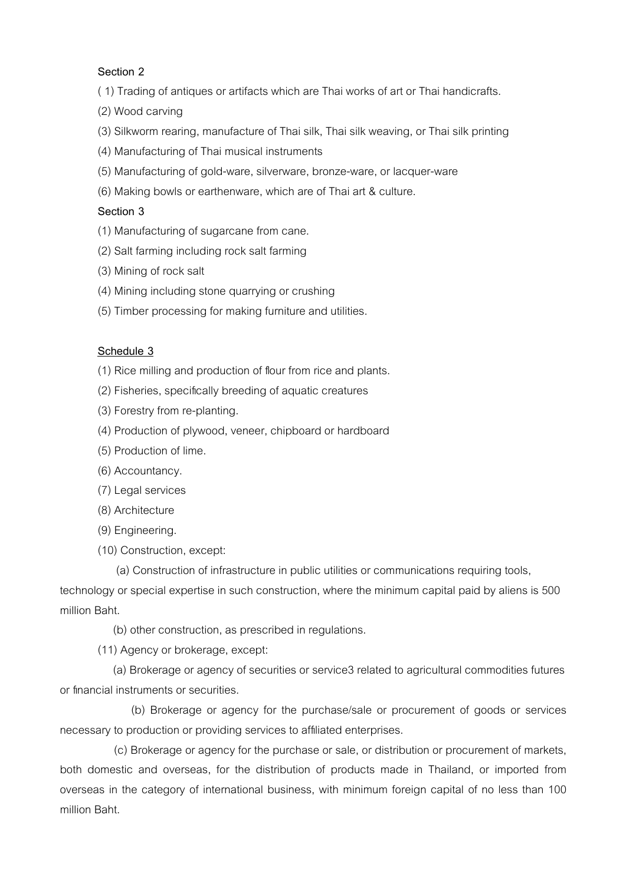# **Section 2**

- ( 1) Trading of antiques or artifacts which are Thai works of art or Thai handicrafts.
- (2) Wood carving
- (3) Silkworm rearing, manufacture of Thai silk, Thai silk weaving, or Thai silk printing
- (4) Manufacturing of Thai musical instruments
- (5) Manufacturing of gold-ware, silverware, bronze-ware, or lacquer-ware
- (6) Making bowls or earthenware, which are of Thai art & culture.

# **Section 3**

- (1) Manufacturing of sugarcane from cane.
- (2) Salt farming including rock salt farming
- (3) Mining of rock salt
- (4) Mining including stone quarrying or crushing
- (5) Timber processing for making furniture and utilities.

# **Schedule 3**

- (1) Rice milling and production of flour from rice and plants.
- (2) Fisheries, specifically breeding of aquatic creatures
- (3) Forestry from re-planting.
- (4) Production of plywood, veneer, chipboard or hardboard
- (5) Production of lime.
- (6) Accountancy.
- (7) Legal services
- (8) Architecture
- (9) Engineering.
- (10) Construction, except:
	- (a) Construction of infrastructure in public utilities or communications requiring tools,

technology or special expertise in such construction, where the minimum capital paid by aliens is 500 million Baht.

(b) other construction, as prescribed in regulations.

(11) Agency or brokerage, except:

 (a) Brokerage or agency of securities or service3 related to agricultural commodities futures or financial instruments or securities.

 (b) Brokerage or agency for the purchase/sale or procurement of goods or services necessary to production or providing services to affiliated enterprises.

 (c) Brokerage or agency for the purchase or sale, or distribution or procurement of markets, both domestic and overseas, for the distribution of products made in Thailand, or imported from overseas in the category of international business, with minimum foreign capital of no less than 100 million Baht.